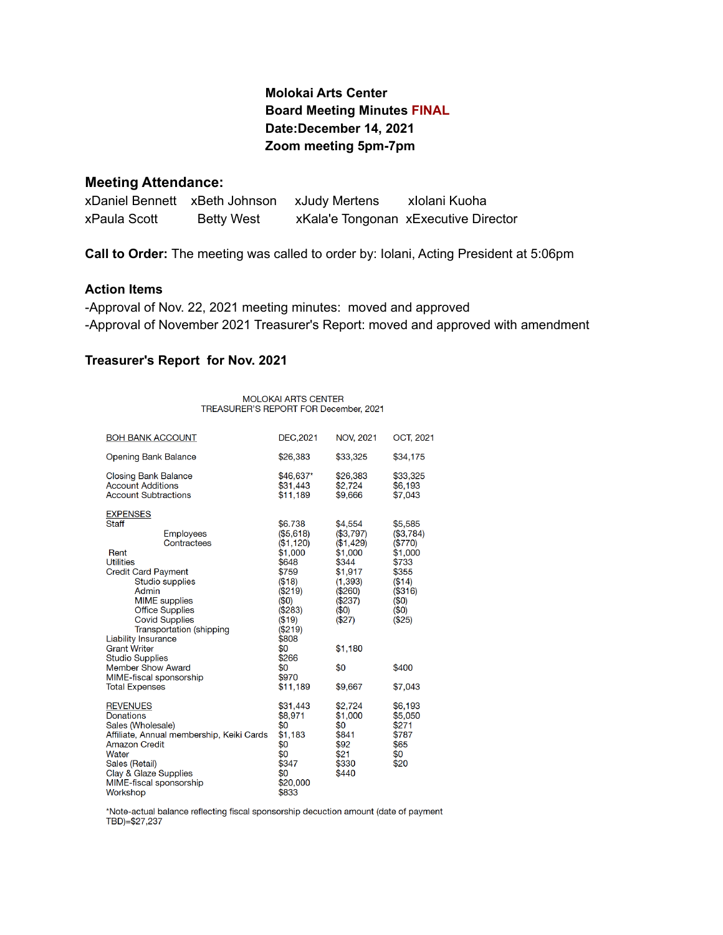# **Molokai Arts Center Board Meeting Minutes FINAL Date:December 14, 2021 Zoom meeting 5pm-7pm**

#### **Meeting Attendance:**

xDaniel Bennett xBeth Johnson xJudy Mertens xIolani Kuoha xPaula Scott Betty West xKala'e Tongonan xExecutive Director

**Call to Order:** The meeting was called to order by: Iolani, Acting President at 5:06pm

### **Action Items**

-Approval of Nov. 22, 2021 meeting minutes: moved and approved -Approval of November 2021 Treasurer's Report: moved and approved with amendment

#### **Treasurer's Report for Nov. 2021**

MOLOKAI ARTS CENTER TREASURER'S REPORT FOR December, 2021

| <b>BOH BANK ACCOUNT</b>                                                                                                                                                                                                                                                                                                                                                                                             | DEC, 2021                                                                                                                                                              | <b>NOV, 2021</b>                                                                                                                       | OCT, 2021                                                                                                            |
|---------------------------------------------------------------------------------------------------------------------------------------------------------------------------------------------------------------------------------------------------------------------------------------------------------------------------------------------------------------------------------------------------------------------|------------------------------------------------------------------------------------------------------------------------------------------------------------------------|----------------------------------------------------------------------------------------------------------------------------------------|----------------------------------------------------------------------------------------------------------------------|
| <b>Opening Bank Balance</b>                                                                                                                                                                                                                                                                                                                                                                                         | \$26,383                                                                                                                                                               | \$33,325                                                                                                                               | \$34,175                                                                                                             |
| <b>Closing Bank Balance</b><br><b>Account Additions</b><br><b>Account Subtractions</b>                                                                                                                                                                                                                                                                                                                              | \$46,637*<br>\$31,443<br>\$11,189                                                                                                                                      | \$26,383<br>\$2.724<br>\$9,666                                                                                                         | \$33,325<br>\$6,193<br>\$7,043                                                                                       |
| <b>EXPENSES</b><br><b>Staff</b><br><b>Employees</b><br>Contractees<br>Rent<br><b>Utilities</b><br><b>Credit Card Payment</b><br><b>Studio supplies</b><br>Admin<br><b>MIME</b> supplies<br><b>Office Supplies</b><br><b>Covid Supplies</b><br><b>Transportation (shipping</b><br><b>Liability Insurance</b><br><b>Grant Writer</b><br><b>Studio Supplies</b><br><b>Member Show Award</b><br>MIME-fiscal sponsorship | \$6.738<br>(\$5,618)<br>(\$1,120)<br>\$1,000<br>\$648<br>\$759<br>(\$18)<br>$(\$219)$<br>(50)<br>(\$283)<br>(\$19)<br>(\$219)<br>\$808<br>\$0<br>\$266<br>\$0<br>\$970 | \$4,554<br>(\$3,797)<br>(\$1,429)<br>\$1,000<br>\$344<br>\$1,917<br>(1, 393)<br>(\$260)<br>(\$237)<br>(50)<br>(\$27)<br>\$1,180<br>\$0 | \$5,585<br>(\$3,784)<br>(\$770)<br>\$1,000<br>\$733<br>\$355<br>(\$14)<br>(\$316)<br>(50)<br>(50)<br>(\$25)<br>\$400 |
| <b>Total Expenses</b>                                                                                                                                                                                                                                                                                                                                                                                               | \$11,189                                                                                                                                                               | \$9,667                                                                                                                                | \$7,043                                                                                                              |
| <b>REVENUES</b><br><b>Donations</b><br>Sales (Wholesale)<br>Affiliate, Annual membership, Keiki Cards<br><b>Amazon Credit</b><br>Water<br>Sales (Retail)<br>Clay & Glaze Supplies<br>MIME-fiscal sponsorship<br>Workshop                                                                                                                                                                                            | \$31,443<br>\$8,971<br>\$0<br>\$1,183<br>\$0<br>\$0<br>\$347<br>\$0<br>\$20,000<br>\$833                                                                               | \$2,724<br>\$1,000<br>\$0<br>\$841<br>\$92<br>\$21<br>\$330<br>\$440                                                                   | \$6,193<br>\$5,050<br>\$271<br>\$787<br>\$65<br>\$0<br>\$20                                                          |

\*Note-actual balance reflecting fiscal sponsorship decuction amount (date of payment  $TBD$ =\$27,237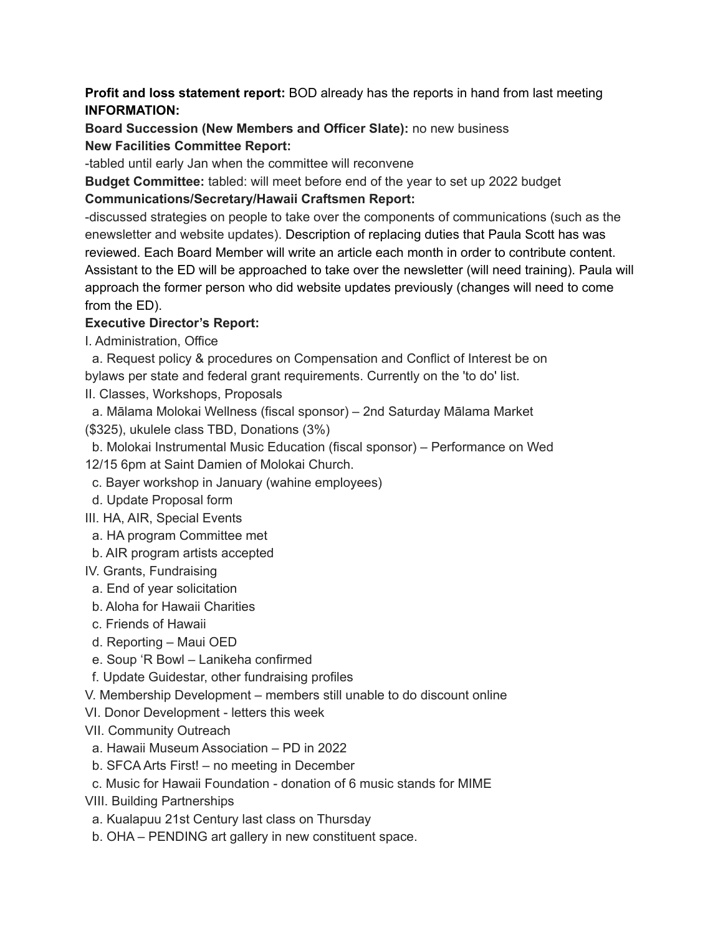## **Profit and loss statement report:** BOD already has the reports in hand from last meeting **INFORMATION:**

**Board Succession (New Members and Officer Slate):** no new business **New Facilities Committee Report:**

-tabled until early Jan when the committee will reconvene

**Budget Committee:** tabled: will meet before end of the year to set up 2022 budget

# **Communications/Secretary/Hawaii Craftsmen Report:**

-discussed strategies on people to take over the components of communications (such as the enewsletter and website updates). Description of replacing duties that Paula Scott has was reviewed. Each Board Member will write an article each month in order to contribute content. Assistant to the ED will be approached to take over the newsletter (will need training). Paula will approach the former person who did website updates previously (changes will need to come from the ED).

# **Executive Director's Report:**

I. Administration, Office

a. Request policy & procedures on Compensation and Conflict of Interest be on bylaws per state and federal grant requirements. Currently on the 'to do' list.

II. Classes, Workshops, Proposals

a. Mālama Molokai Wellness (fiscal sponsor) – 2nd Saturday Mālama Market (\$325), ukulele class TBD, Donations (3%)

- b. Molokai Instrumental Music Education (fiscal sponsor) Performance on Wed
- 12/15 6pm at Saint Damien of Molokai Church.
- c. Bayer workshop in January (wahine employees)
- d. Update Proposal form
- III. HA, AIR, Special Events
- a. HA program Committee met
- b. AIR program artists accepted
- IV. Grants, Fundraising
- a. End of year solicitation
- b. Aloha for Hawaii Charities
- c. Friends of Hawaii
- d. Reporting Maui OED
- e. Soup 'R Bowl Lanikeha confirmed
- f. Update Guidestar, other fundraising profiles
- V. Membership Development members still unable to do discount online
- VI. Donor Development letters this week
- VII. Community Outreach
- a. Hawaii Museum Association PD in 2022
- b. SFCA Arts First! no meeting in December
- c. Music for Hawaii Foundation donation of 6 music stands for MIME
- VIII. Building Partnerships
- a. Kualapuu 21st Century last class on Thursday
- b. OHA PENDING art gallery in new constituent space.